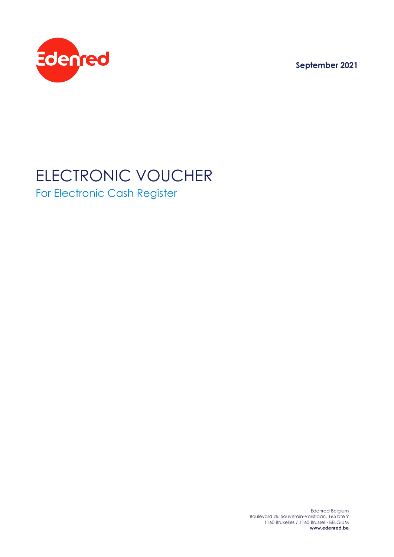**September 2021**



## ELECTRONIC VOUCHER For Electronic Cash Register

Edenred Belgium Boulevard du Souverain-Vorstlaan, 165 bte 9 1160 Bruxelles / 1160 Brussel - BELGIUM **www.edenred.be**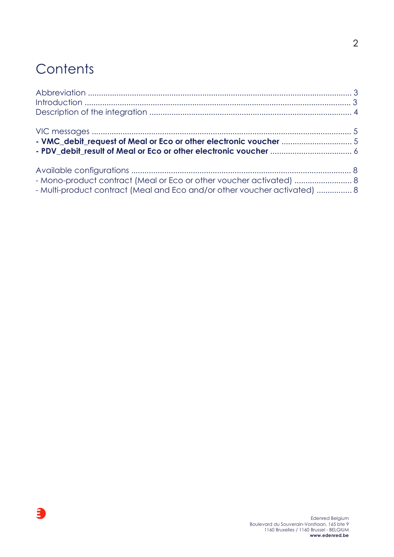# **Contents**

 $\mathbf{a}$ 

| - Mono-product contract (Meal or Eco or other voucher activated)  8<br>- Multi-product contract (Meal and Eco and/or other voucher activated)  8 |  |
|--------------------------------------------------------------------------------------------------------------------------------------------------|--|

2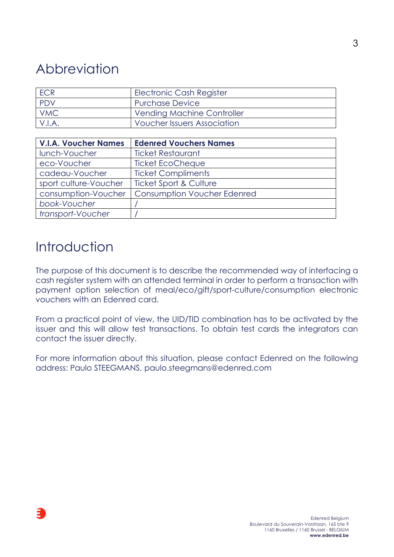## Abbreviation

| <b>ECR</b> | Electronic Cash Register           |
|------------|------------------------------------|
| <b>PDV</b> | <b>Purchase Device</b>             |
| <b>VMC</b> | <b>Vending Machine Controller</b>  |
| V.I.A.     | <b>Voucher Issuers Association</b> |

| <b>V.I.A. Voucher Names</b> | <b>Edenred Vouchers Names</b>      |
|-----------------------------|------------------------------------|
| lunch-Voucher               | <b>Ticket Restaurant</b>           |
| eco-Voucher                 | <b>Ticket EcoCheque</b>            |
| cadeau-Voucher              | <b>Ticket Compliments</b>          |
| sport culture-Voucher       | <b>Ticket Sport &amp; Culture</b>  |
| consumption-Voucher         | <b>Consumption Voucher Edenred</b> |
| book-Voucher                |                                    |
| transport-Voucher           |                                    |

### **Introduction**

The purpose of this document is to describe the recommended way of interfacing a cash register system with an attended terminal in order to perform a transaction with payment option selection of meal/eco/gift/sport-culture/consumption electronic vouchers with an Edenred card.

From a practical point of view, the UID/TID combination has to be activated by the issuer and this will allow test transactions. To obtain test cards the integrators can contact the issuer directly.

For more information about this situation, please contact Edenred on the following address: Paulo STEEGMANS, paulo.steegmans@edenred.com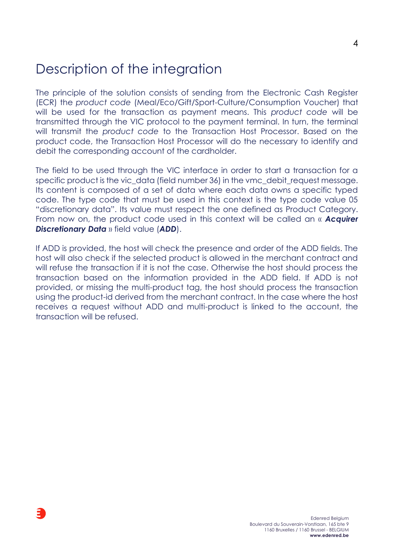### Description of the integration

The principle of the solution consists of sending from the Electronic Cash Register (ECR) the *product code* (Meal/Eco/Gift/Sport-Culture/Consumption Voucher) that will be used for the transaction as payment means. This *product code* will be transmitted through the VIC protocol to the payment terminal. In turn, the terminal will transmit the *product code* to the Transaction Host Processor. Based on the product code, the Transaction Host Processor will do the necessary to identify and debit the corresponding account of the cardholder.

The field to be used through the VIC interface in order to start a transaction for a specific product is the vic data (field number 36) in the vmc debit request message. Its content is composed of a set of data where each data owns a specific typed code. The type code that must be used in this context is the type code value 05 "discretionary data". Its value must respect the one defined as Product Category. From now on, the product code used in this context will be called an « *Acquirer Discretionary Data* » field value (*ADD*).

If ADD is provided, the host will check the presence and order of the ADD fields. The host will also check if the selected product is allowed in the merchant contract and will refuse the transaction if it is not the case. Otherwise the host should process the transaction based on the information provided in the ADD field. If ADD is not provided, or missing the multi-product tag, the host should process the transaction using the product-id derived from the merchant contract. In the case where the host receives a request without ADD and multi-product is linked to the account, the transaction will be refused.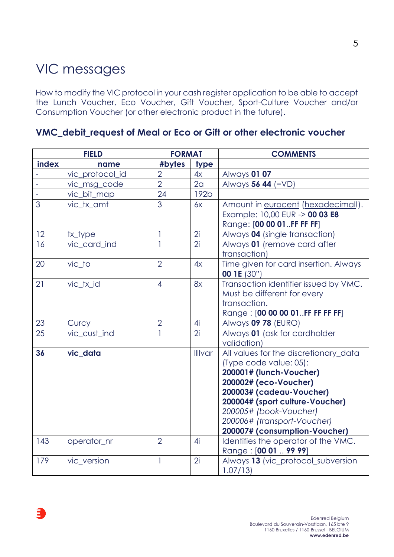## VIC messages

How to modify the VIC protocol in your cash register application to be able to accept the Lunch Voucher, Eco Voucher, Gift Voucher, Sport-Culture Voucher and/or Consumption Voucher (or other electronic product in the future).

**VMC\_debit\_request of Meal or Eco or Gift or other electronic voucher**

|       | <b>FIELD</b>    | <b>FORMAT</b>  |                | <b>COMMENTS</b>                                                                                                                                                                                                                                                              |  |
|-------|-----------------|----------------|----------------|------------------------------------------------------------------------------------------------------------------------------------------------------------------------------------------------------------------------------------------------------------------------------|--|
| index | name            | #bytes         | type           |                                                                                                                                                                                                                                                                              |  |
|       | vic_protocol_id | $\overline{2}$ | 4x             | <b>Always 01 07</b>                                                                                                                                                                                                                                                          |  |
|       | vic_msg_code    | $\overline{2}$ | 2 <sub>a</sub> | Always 56 44 (=VD)                                                                                                                                                                                                                                                           |  |
|       | vic_bit_map     | 24             | 192b           |                                                                                                                                                                                                                                                                              |  |
| 3     | vic tx amt      | 3              | 6x             | Amount in eurocent (hexadecimal!).<br>Example: 10,00 EUR -> 00 03 E8<br>Range: [00 00 01FF FF FF]                                                                                                                                                                            |  |
| 12    | tx_type         | 1              | 2i             | Always 04 (single transaction)                                                                                                                                                                                                                                               |  |
| 16    | vic card ind    | 1              | 2i             | Always 01 (remove card after<br>transaction)                                                                                                                                                                                                                                 |  |
| 20    | vic_to          | $\overline{2}$ | 4x             | Time given for card insertion. Always<br><b>00 1E (30")</b>                                                                                                                                                                                                                  |  |
| 21    | vic_tx_id       | $\overline{4}$ | 8x             | Transaction identifier issued by VMC.<br>Must be different for every<br>transaction.<br>Range: [00 00 00 01FF FF FF FF]                                                                                                                                                      |  |
| 23    | Curcy           | $\overline{2}$ | 4i             | Always 09 78 (EURO)                                                                                                                                                                                                                                                          |  |
| 25    | vic_cust_ind    | 1              | 2i             | Always 01 (ask for cardholder<br>validation)                                                                                                                                                                                                                                 |  |
| 36    | vic_data        |                | <b>Illivar</b> | All values for the discretionary_data<br>(Type code value: 05):<br>200001# (lunch-Voucher)<br>200002# (eco-Voucher)<br>200003# (cadeau-Voucher)<br>200004# (sport culture-Voucher)<br>200005# (book-Voucher)<br>200006# (transport-Voucher)<br>200007# (consumption-Voucher) |  |
| 143   | operator_nr     | $\overline{2}$ | 4i             | Identifies the operator of the VMC.<br>Range: [00 01  99 99]                                                                                                                                                                                                                 |  |
| 179   | vic version     | 1              | 2i             | Always 13 (vic_protocol_subversion<br>1.07/13                                                                                                                                                                                                                                |  |

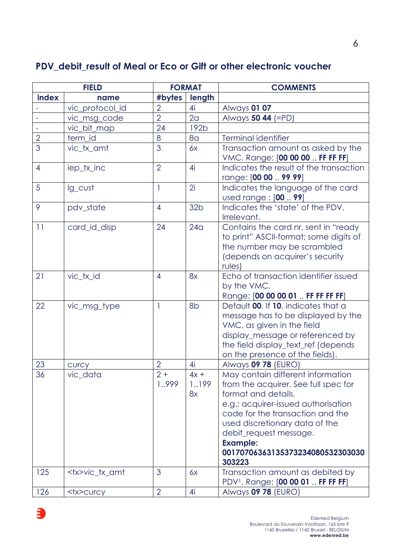#### **PDV\_debit\_result of Meal or Eco or Gift or other electronic voucher**

|                | <b>FIELD</b>        | <b>FORMAT</b>  |                       | <b>COMMENTS</b>                                                                                                                                                                                                                                                                                          |
|----------------|---------------------|----------------|-----------------------|----------------------------------------------------------------------------------------------------------------------------------------------------------------------------------------------------------------------------------------------------------------------------------------------------------|
| index          | name                | #bytes         | length                |                                                                                                                                                                                                                                                                                                          |
|                | vic_protocol_id     | $\overline{2}$ | 4i                    | <b>Always 01 07</b>                                                                                                                                                                                                                                                                                      |
|                | vic_msg_code        | $\overline{2}$ | 2 <sub>a</sub>        | Always 50 44 (=PD)                                                                                                                                                                                                                                                                                       |
|                | vic_bit_map         | 24             | 192b                  |                                                                                                                                                                                                                                                                                                          |
| $\overline{2}$ | term_id             | 8              | 8 <sub>a</sub>        | Terminal identifier                                                                                                                                                                                                                                                                                      |
| 3              | vic_tx_amt          | 3              | 6x                    | Transaction amount as asked by the<br>VMC. Range: [00 00 00  FF FF FF]                                                                                                                                                                                                                                   |
| $\overline{4}$ | iep_tx_inc          | $\overline{2}$ | 4i                    | Indicates the result of the transaction<br>range: [00 00  99 99]                                                                                                                                                                                                                                         |
| 5              | lg_cust             | $\mathbf{1}$   | 2i                    | Indicates the language of the card<br>used range : [00  99]                                                                                                                                                                                                                                              |
| 9              | pdv_state           | $\overline{4}$ | 32 <sub>b</sub>       | Indicates the 'state' of the PDV.<br>Irrelevant.                                                                                                                                                                                                                                                         |
| 11             | card_id_disp        | 24             | 24 <sub>q</sub>       | Contains the card nr, sent in "ready<br>to print" ASCII-format; some digits of<br>the number may be scrambled<br>(depends on acquirer's security<br>rules)                                                                                                                                               |
| 21             | vic_tx_id           | $\overline{4}$ | 8x                    | Echo of transaction identifier issued<br>by the VMC.<br>Range: [00 00 00 01  FF FF FF FF]                                                                                                                                                                                                                |
| 22             | vic_msg_type        | 1              | 8b                    | Default 00. If 10, indicates that a<br>message has to be displayed by the<br>VMC, as given in the field<br>display_message or referenced by<br>the field display_text_ref (depends<br>on the presence of the fields).                                                                                    |
| 23             | <b>CUrCy</b>        | $\overline{2}$ | 4i                    | Always 09 78 (EURO)                                                                                                                                                                                                                                                                                      |
| 36             | vic_data            | $2+$<br>1.,999 | $4x +$<br>1.199<br>8x | May contain different information<br>from the acquirer. See full spec for<br>format and details.<br>e.g.: acquirer-issued authorisation<br>code for the transaction and the<br>used discretionary data of the<br>debit_request message.<br><b>Example:</b><br>00170706363135373234080532303030<br>303223 |
| 125            | <tx>vic_tx_amt</tx> | 3              | 6x                    | Transaction amount as debited by<br>PDV <sup>1</sup> . Range: [00 00 01  FF FF FF]                                                                                                                                                                                                                       |
| 126            | <tx>curcy</tx>      | $\overline{2}$ | 4i                    | Always 09 78 (EURO)                                                                                                                                                                                                                                                                                      |

 $\mathbf{a}$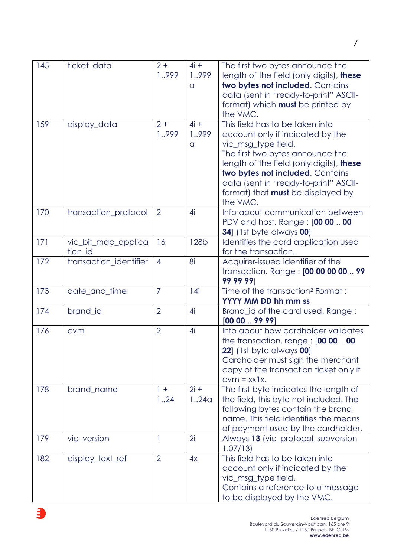| 145 | ticket_data                    | $2+$<br>1999            | $4i +$<br>1999<br>a | The first two bytes announce the<br>length of the field (only digits), these<br>two bytes not included. Contains<br>data (sent in "ready-to-print" ASCII-<br>format) which <b>must</b> be printed by<br>the VMC.                                                                                                |
|-----|--------------------------------|-------------------------|---------------------|-----------------------------------------------------------------------------------------------------------------------------------------------------------------------------------------------------------------------------------------------------------------------------------------------------------------|
| 159 | display_data                   | $2+$<br>1.,999          | $4i +$<br>1999<br>a | This field has to be taken into<br>account only if indicated by the<br>vic_msg_type field.<br>The first two bytes announce the<br>length of the field (only digits), these<br>two bytes not included. Contains<br>data (sent in "ready-to-print" ASCII-<br>format) that <b>must</b> be displayed by<br>the VMC. |
| 170 | transaction_protocol           | $\overline{2}$          | 4i                  | Info about communication between<br>PDV and host. Range: [00 00  00<br><b>34</b> ] (1st byte always <b>00</b> )                                                                                                                                                                                                 |
| 171 | vic_bit_map_applica<br>tion_id | 16                      | <b>128b</b>         | Identifies the card application used<br>for the transaction.                                                                                                                                                                                                                                                    |
| 172 | transaction_identifier         | $\overline{4}$          | 8i                  | Acquirer-issued identifier of the<br>transaction. Range: [00 00 00 00  99<br>99 99 99                                                                                                                                                                                                                           |
| 173 | date_and_time                  | $\overline{7}$          | 14i                 | Time of the transaction <sup>2</sup> Format:<br>YYYY MM DD hh mm ss                                                                                                                                                                                                                                             |
| 174 | brand_id                       | $\overline{2}$          | 4i                  | Brand_id of the card used. Range:<br>$[00 00 \dots 99 99]$                                                                                                                                                                                                                                                      |
| 176 | cvm                            | $\overline{2}$          | 4i                  | Info about how cardholder validates<br>the transaction. range : $[00 00$ 00<br><b>22</b> ] (1st byte always <b>00</b> )<br>Cardholder must sign the merchant<br>copy of the transaction ticket only if<br>$cvm = xx1x$ .                                                                                        |
| 178 | brand_name                     | $\vert + \vert$<br>1.24 | $2i +$<br>1.24a     | The first byte indicates the length of<br>the field, this byte not included. The<br>following bytes contain the brand<br>name. This field identifies the means<br>of payment used by the cardholder.                                                                                                            |
| 179 | vic_version                    | 1                       | 2i                  | Always 13 (vic_protocol_subversion<br>1.07/13                                                                                                                                                                                                                                                                   |
| 182 | display_text_ref               | $\overline{2}$          | 4x                  | This field has to be taken into<br>account only if indicated by the<br>vic_msg_type field.<br>Contains a reference to a message<br>to be displayed by the VMC.                                                                                                                                                  |